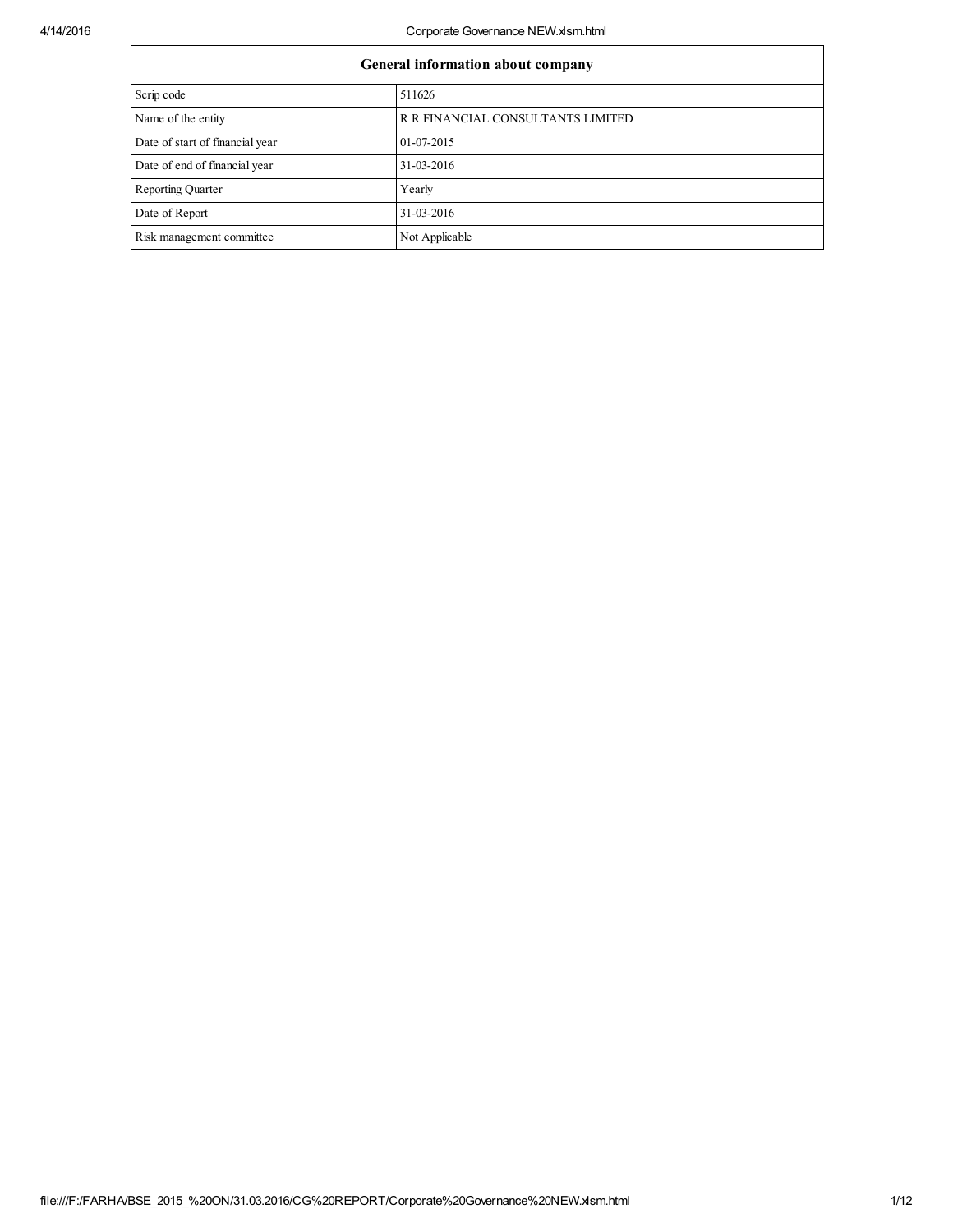| General information about company |                                   |  |  |  |  |  |
|-----------------------------------|-----------------------------------|--|--|--|--|--|
| Scrip code                        | 511626                            |  |  |  |  |  |
| Name of the entity                | R R FINANCIAL CONSULTANTS LIMITED |  |  |  |  |  |
| Date of start of financial year   | 01-07-2015                        |  |  |  |  |  |
| Date of end of financial year     | 31-03-2016                        |  |  |  |  |  |
| <b>Reporting Quarter</b>          | Yearly                            |  |  |  |  |  |
| Date of Report                    | 31-03-2016                        |  |  |  |  |  |
| Risk management committee         | Not Applicable                    |  |  |  |  |  |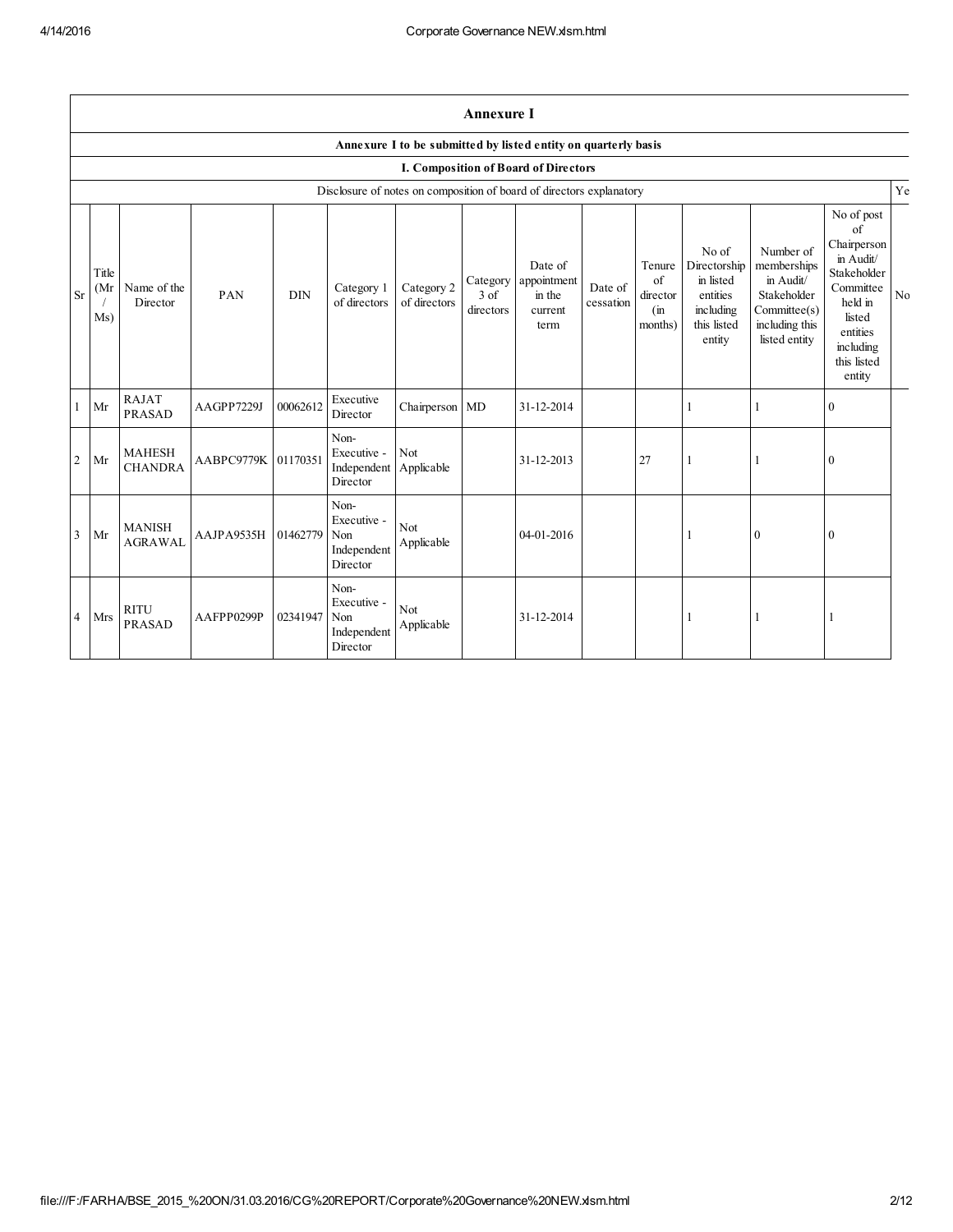$\Gamma$ 

|                | <b>Annexure I</b>                                              |                                 |                     |            |                                                                      |                            |                     |                                                              |                      |                                            |                                                                                      |                                                                                                        |                                                                                                                                                 |           |
|----------------|----------------------------------------------------------------|---------------------------------|---------------------|------------|----------------------------------------------------------------------|----------------------------|---------------------|--------------------------------------------------------------|----------------------|--------------------------------------------|--------------------------------------------------------------------------------------|--------------------------------------------------------------------------------------------------------|-------------------------------------------------------------------------------------------------------------------------------------------------|-----------|
|                | Annexure I to be submitted by listed entity on quarterly basis |                                 |                     |            |                                                                      |                            |                     |                                                              |                      |                                            |                                                                                      |                                                                                                        |                                                                                                                                                 |           |
|                | I. Composition of Board of Directors                           |                                 |                     |            |                                                                      |                            |                     |                                                              |                      |                                            |                                                                                      |                                                                                                        |                                                                                                                                                 |           |
|                |                                                                |                                 |                     |            | Disclosure of notes on composition of board of directors explanatory |                            |                     |                                                              |                      |                                            |                                                                                      |                                                                                                        |                                                                                                                                                 | Ye        |
| <b>Sr</b>      | Title<br>(Mr<br>Ms)                                            | Name of the<br>Director         | PAN                 | <b>DIN</b> | Category 1<br>of directors                                           | Category 2<br>of directors | $3$ of<br>directors | Date of<br>Category appointment<br>in the<br>current<br>term | Date of<br>cessation | Tenure<br>of<br>director<br>(in<br>months) | No of<br>Directorship<br>in listed<br>entities<br>including<br>this listed<br>entity | Number of<br>memberships<br>in Audit/<br>Stakeholder<br>Commitee(s)<br>including this<br>listed entity | No of post<br>of<br>Chairperson<br>in Audit/<br>Stakeholder<br>Committee<br>held in<br>listed<br>entities<br>including<br>this listed<br>entity | $\rm N_0$ |
| 1              | Mr                                                             | <b>RAJAT</b><br><b>PRASAD</b>   | AAGPP7229J          | 00062612   | Executive<br>Director                                                | Chairperson MD             |                     | 31-12-2014                                                   |                      |                                            | 1                                                                                    |                                                                                                        | $\mathbf{0}$                                                                                                                                    |           |
| 2              | Mr                                                             | <b>MAHESH</b><br><b>CHANDRA</b> | AABPC9779K 01170351 |            | Non-<br>Executive -<br>Independent Applicable<br>Director            | Not                        |                     | 31-12-2013                                                   |                      | 27                                         | 1                                                                                    |                                                                                                        | $\boldsymbol{0}$                                                                                                                                |           |
| $\overline{3}$ | Mr                                                             | <b>MANISH</b><br><b>AGRAWAL</b> | AAJPA9535H          | 01462779   | Non-<br>Executive -<br>Non<br>Independent<br>Director                | Not<br>Applicable          |                     | 04-01-2016                                                   |                      |                                            |                                                                                      | $\boldsymbol{0}$                                                                                       | $\boldsymbol{0}$                                                                                                                                |           |
| $\overline{4}$ | <b>Mrs</b>                                                     | <b>RITU</b><br><b>PRASAD</b>    | AAFPP0299P          | 02341947   | Non-<br>Executive -<br>Non<br>Independent<br>Director                | Not<br>Applicable          |                     | 31-12-2014                                                   |                      |                                            |                                                                                      |                                                                                                        |                                                                                                                                                 |           |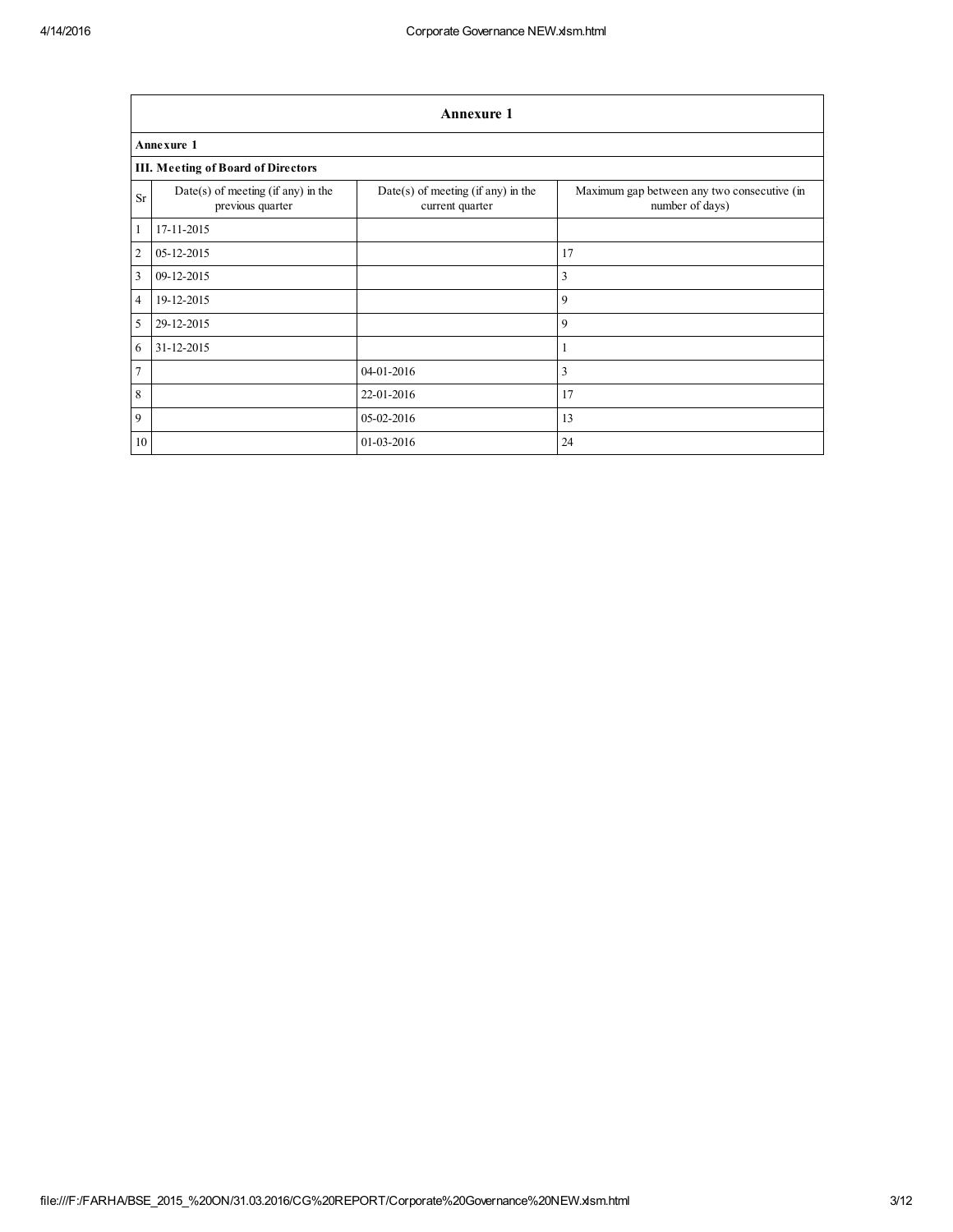|                         | <b>Annexure 1</b>                                        |                                                         |                                                                |  |  |  |  |  |  |
|-------------------------|----------------------------------------------------------|---------------------------------------------------------|----------------------------------------------------------------|--|--|--|--|--|--|
|                         | <b>Annexure 1</b>                                        |                                                         |                                                                |  |  |  |  |  |  |
|                         | <b>III. Meeting of Board of Directors</b>                |                                                         |                                                                |  |  |  |  |  |  |
| <b>Sr</b>               | $Date(s)$ of meeting (if any) in the<br>previous quarter | $Date(s)$ of meeting (if any) in the<br>current quarter | Maximum gap between any two consecutive (in<br>number of days) |  |  |  |  |  |  |
| $\mathbf{1}$            | 17-11-2015                                               |                                                         |                                                                |  |  |  |  |  |  |
| $\overline{c}$          | 05-12-2015                                               |                                                         | 17                                                             |  |  |  |  |  |  |
| $\overline{\mathbf{3}}$ | 09-12-2015                                               |                                                         | 3                                                              |  |  |  |  |  |  |
| $\overline{4}$          | 19-12-2015                                               |                                                         | 9                                                              |  |  |  |  |  |  |
| 5                       | 29-12-2015                                               |                                                         | 9                                                              |  |  |  |  |  |  |
| 6                       | 31-12-2015                                               |                                                         |                                                                |  |  |  |  |  |  |
| $\overline{7}$          |                                                          | 04-01-2016                                              | 3                                                              |  |  |  |  |  |  |
| $\boldsymbol{8}$        |                                                          | 22-01-2016                                              | 17                                                             |  |  |  |  |  |  |
| $\overline{9}$          |                                                          | 05-02-2016                                              | 13                                                             |  |  |  |  |  |  |
| 10                      |                                                          | 01-03-2016                                              | 24                                                             |  |  |  |  |  |  |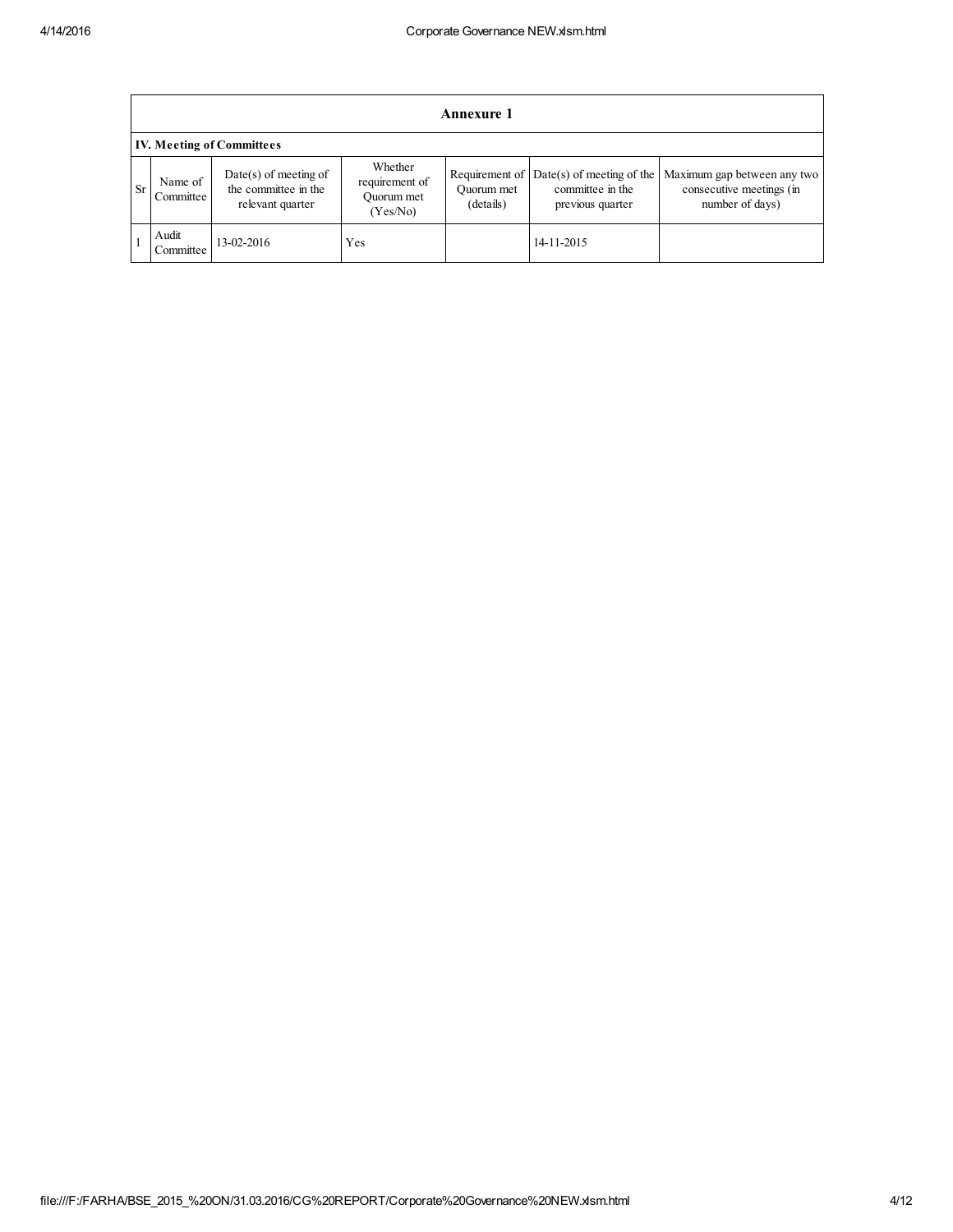|           | <b>Annexure 1</b>                |                                                                     |                                                     |                                           |                                                                     |                                                                            |  |  |
|-----------|----------------------------------|---------------------------------------------------------------------|-----------------------------------------------------|-------------------------------------------|---------------------------------------------------------------------|----------------------------------------------------------------------------|--|--|
|           | <b>IV. Meeting of Committees</b> |                                                                     |                                                     |                                           |                                                                     |                                                                            |  |  |
| <b>Sr</b> | Name of<br>Committee             | $Date(s)$ of meeting of<br>the committee in the<br>relevant quarter | Whether<br>requirement of<br>Ouorum met<br>(Yes/No) | Requirement of<br>Ouorum met<br>(details) | $Date(s)$ of meeting of the<br>committee in the<br>previous quarter | Maximum gap between any two<br>consecutive meetings (in<br>number of days) |  |  |
|           | Audit<br>Committee               | 13-02-2016                                                          | Yes                                                 |                                           | 14-11-2015                                                          |                                                                            |  |  |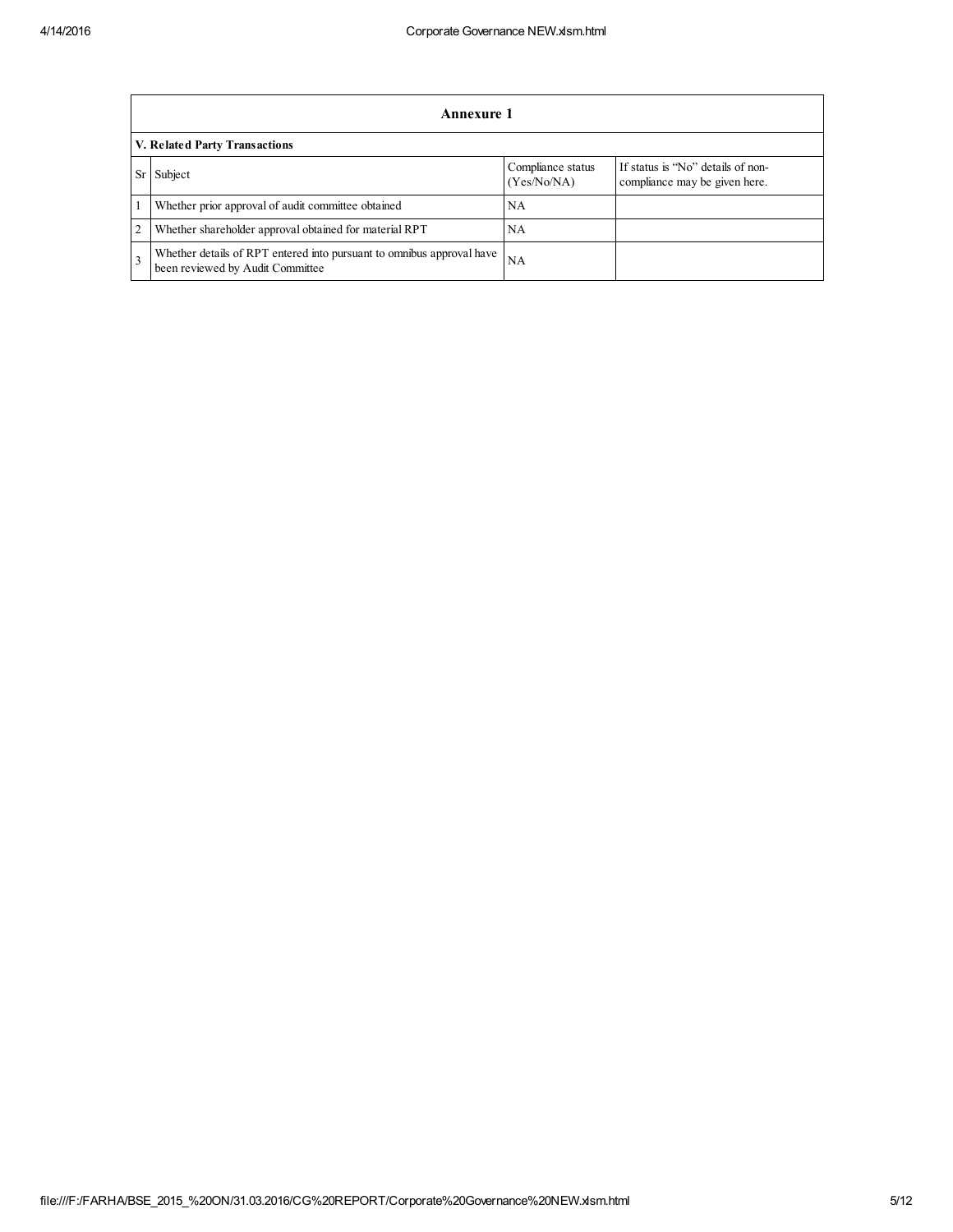|                | <b>Annexure 1</b>                                                                                                 |           |  |  |  |  |  |  |
|----------------|-------------------------------------------------------------------------------------------------------------------|-----------|--|--|--|--|--|--|
|                | V. Related Party Transactions                                                                                     |           |  |  |  |  |  |  |
| <b>Sr</b>      | If status is "No" details of non-<br>Compliance status<br>Subject<br>(Yes/No/NA)<br>compliance may be given here. |           |  |  |  |  |  |  |
|                | Whether prior approval of audit committee obtained                                                                | NA        |  |  |  |  |  |  |
| $\overline{2}$ | Whether shareholder approval obtained for material RPT                                                            | NA        |  |  |  |  |  |  |
| $\mathbf{3}$   | Whether details of RPT entered into pursuant to omnibus approval have<br>been reviewed by Audit Committee         | <b>NA</b> |  |  |  |  |  |  |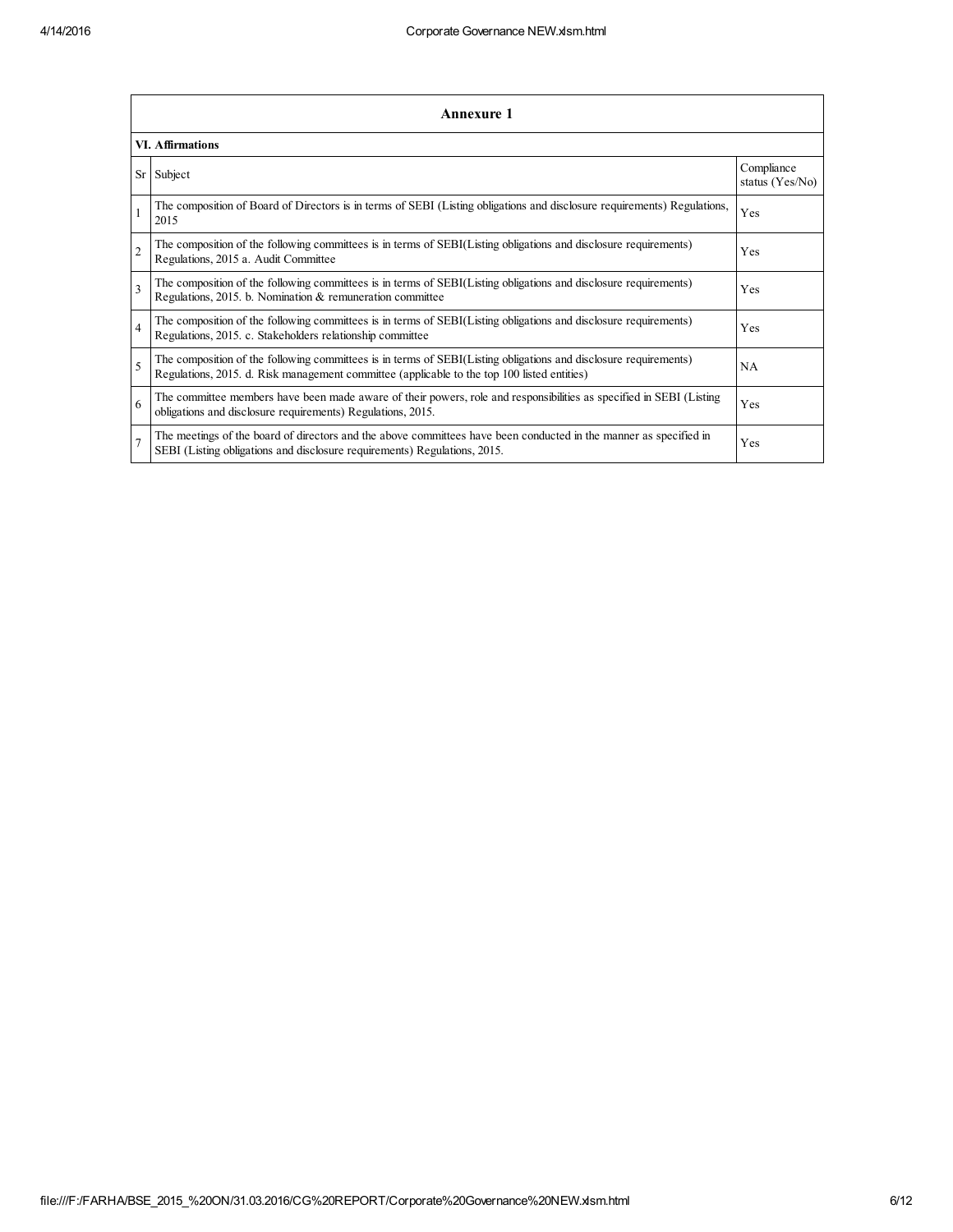|                | Annexure 1                                                                                                                                                                                                      |                               |  |  |  |  |  |
|----------------|-----------------------------------------------------------------------------------------------------------------------------------------------------------------------------------------------------------------|-------------------------------|--|--|--|--|--|
|                | <b>VI.</b> Affirmations                                                                                                                                                                                         |                               |  |  |  |  |  |
| Sr             | Subject                                                                                                                                                                                                         | Compliance<br>status (Yes/No) |  |  |  |  |  |
|                | The composition of Board of Directors is in terms of SEBI (Listing obligations and disclosure requirements) Regulations,<br>2015                                                                                | Yes                           |  |  |  |  |  |
| $\overline{c}$ | The composition of the following committees is in terms of SEBI(Listing obligations and disclosure requirements)<br>Regulations, 2015 a. Audit Committee                                                        | Yes                           |  |  |  |  |  |
| 3              | The composition of the following committees is in terms of SEBI(Listing obligations and disclosure requirements)<br>Regulations, 2015. b. Nomination & remuneration committee                                   | Yes                           |  |  |  |  |  |
| $\overline{4}$ | The composition of the following committees is in terms of SEBI(Listing obligations and disclosure requirements)<br>Regulations, 2015. c. Stakeholders relationship committee                                   | Yes                           |  |  |  |  |  |
| 5              | The composition of the following committees is in terms of SEBI(Listing obligations and disclosure requirements)<br>Regulations, 2015. d. Risk management committee (applicable to the top 100 listed entities) | <b>NA</b>                     |  |  |  |  |  |
| 6              | The committee members have been made aware of their powers, role and responsibilities as specified in SEBI (Listing<br>obligations and disclosure requirements) Regulations, 2015.                              | Yes                           |  |  |  |  |  |
| 7              | The meetings of the board of directors and the above committees have been conducted in the manner as specified in<br>SEBI (Listing obligations and disclosure requirements) Regulations, 2015.                  | Yes                           |  |  |  |  |  |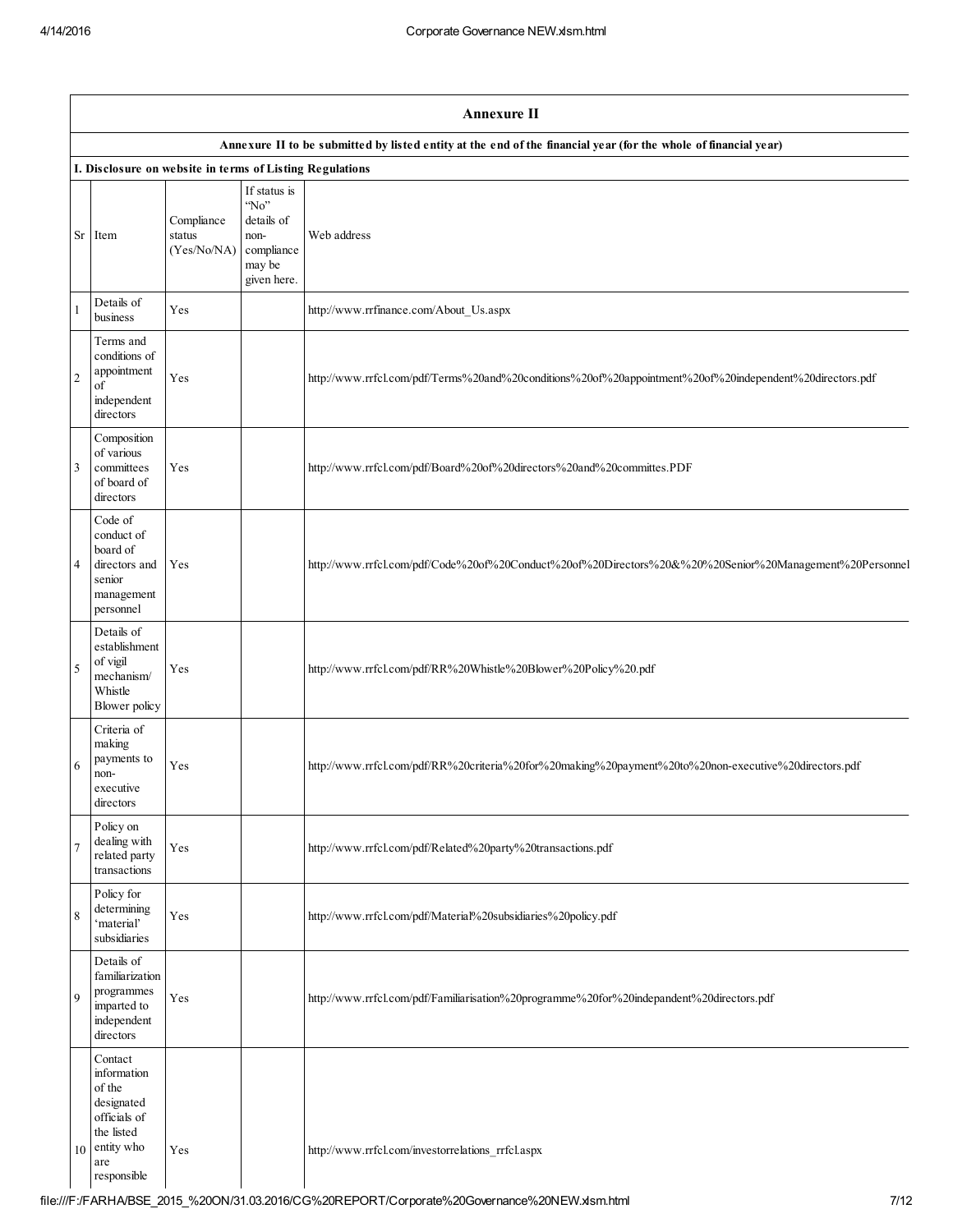|            | <b>Annexure II</b>                                                                                               |                                     |                                                                                             |                                                                                                         |  |  |  |  |  |
|------------|------------------------------------------------------------------------------------------------------------------|-------------------------------------|---------------------------------------------------------------------------------------------|---------------------------------------------------------------------------------------------------------|--|--|--|--|--|
|            | Annexure II to be submitted by listed entity at the end of the financial year (for the whole of financial year)  |                                     |                                                                                             |                                                                                                         |  |  |  |  |  |
|            | I. Disclosure on website in terms of Listing Regulations                                                         |                                     |                                                                                             |                                                                                                         |  |  |  |  |  |
| Sr         | Item                                                                                                             | Compliance<br>status<br>(Yes/No/NA) | If status is<br>$^{\circ}$ No"<br>details of<br>non-<br>compliance<br>may be<br>given here. | Web address                                                                                             |  |  |  |  |  |
|            | Details of<br>business                                                                                           | Yes                                 |                                                                                             | http://www.rrfinance.com/About_Us.aspx                                                                  |  |  |  |  |  |
| $\sqrt{2}$ | Terms and<br>conditions of<br>appointment<br>οf<br>independent<br>directors                                      | Yes                                 |                                                                                             | http://www.rrfcl.com/pdf/Terms%20and%20conditions%20of%20appointment%20of%20independent%20directors.pdf |  |  |  |  |  |
| 3          | Composition<br>of various<br>committees<br>of board of<br>directors                                              | Yes                                 |                                                                                             | http://www.rrfcl.com/pdf/Board%20of%20directors%20and%20committes.PDF                                   |  |  |  |  |  |
| 4          | Code of<br>conduct of<br>board of<br>directors and<br>senior<br>management<br>personnel                          | Yes                                 |                                                                                             | http://www.rrfcl.com/pdf/Code%20of%20Conduct%20of%20Directors%20&%20%20Senior%20Management%20Personnel  |  |  |  |  |  |
| 5          | Details of<br>establishment<br>of vigil<br>mechanism/<br>Whistle<br>Blower policy                                | Yes                                 |                                                                                             | http://www.rrfcl.com/pdf/RR%20Whistle%20Blower%20Policy%20.pdf                                          |  |  |  |  |  |
| 6          | Criteria of<br>making<br>payments to<br>non-<br>executive<br>directors                                           | Yes                                 |                                                                                             | http://www.rrfcl.com/pdf/RR%20criteria%20for%20making%20payment%20to%20non-executive%20directors.pdf    |  |  |  |  |  |
|            | Policy on<br>dealing with<br>related party<br>transactions                                                       | Yes                                 |                                                                                             | http://www.rrfcl.com/pdf/Related%20party%20transactions.pdf                                             |  |  |  |  |  |
| 8          | Policy for<br>determining<br>'material'<br>subsidiaries                                                          | Yes                                 |                                                                                             | http://www.rrfcl.com/pdf/Material%20subsidiaries%20policy.pdf                                           |  |  |  |  |  |
| 9          | Details of<br>familiarization<br>programmes<br>imparted to<br>independent<br>directors                           | Yes                                 |                                                                                             | http://www.rrfcl.com/pdf/Familiarisation%20programme%20for%20indepandent%20directors.pdf                |  |  |  |  |  |
| 10         | Contact<br>information<br>of the<br>designated<br>officials of<br>the listed<br>entity who<br>are<br>responsible | Yes                                 |                                                                                             | http://www.rrfcl.com/investorrelations_rrfcl.aspx                                                       |  |  |  |  |  |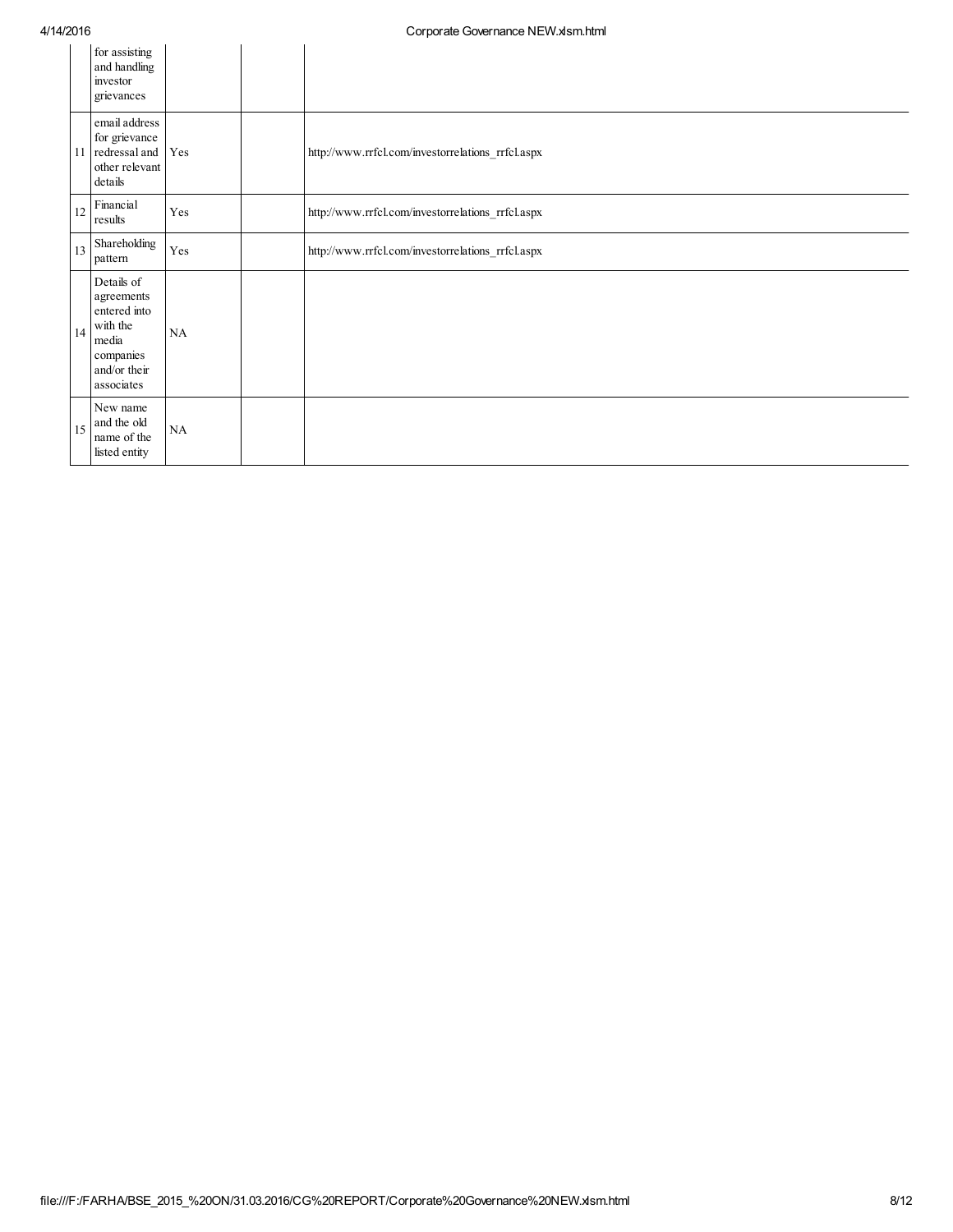| .  |                                                                                                          |     | $\frac{1}{2}$                                     |
|----|----------------------------------------------------------------------------------------------------------|-----|---------------------------------------------------|
|    | for assisting<br>and handling<br>investor<br>grievances                                                  |     |                                                   |
| 11 | email address<br>for grievance<br>redressal and<br>other relevant<br>details                             | Yes | http://www.rrfcl.com/investorrelations_rrfcl.aspx |
| 12 | Financial<br>results                                                                                     | Yes | http://www.rrfcl.com/investorrelations_rrfcl.aspx |
| 13 | Shareholding<br>pattern                                                                                  | Yes | http://www.rrfcl.com/investorrelations_rrfcl.aspx |
| 14 | Details of<br>agreements<br>entered into<br>with the<br>media<br>companies<br>and/or their<br>associates | NA  |                                                   |
| 15 | New name<br>and the old<br>name of the<br>listed entity                                                  | NA  |                                                   |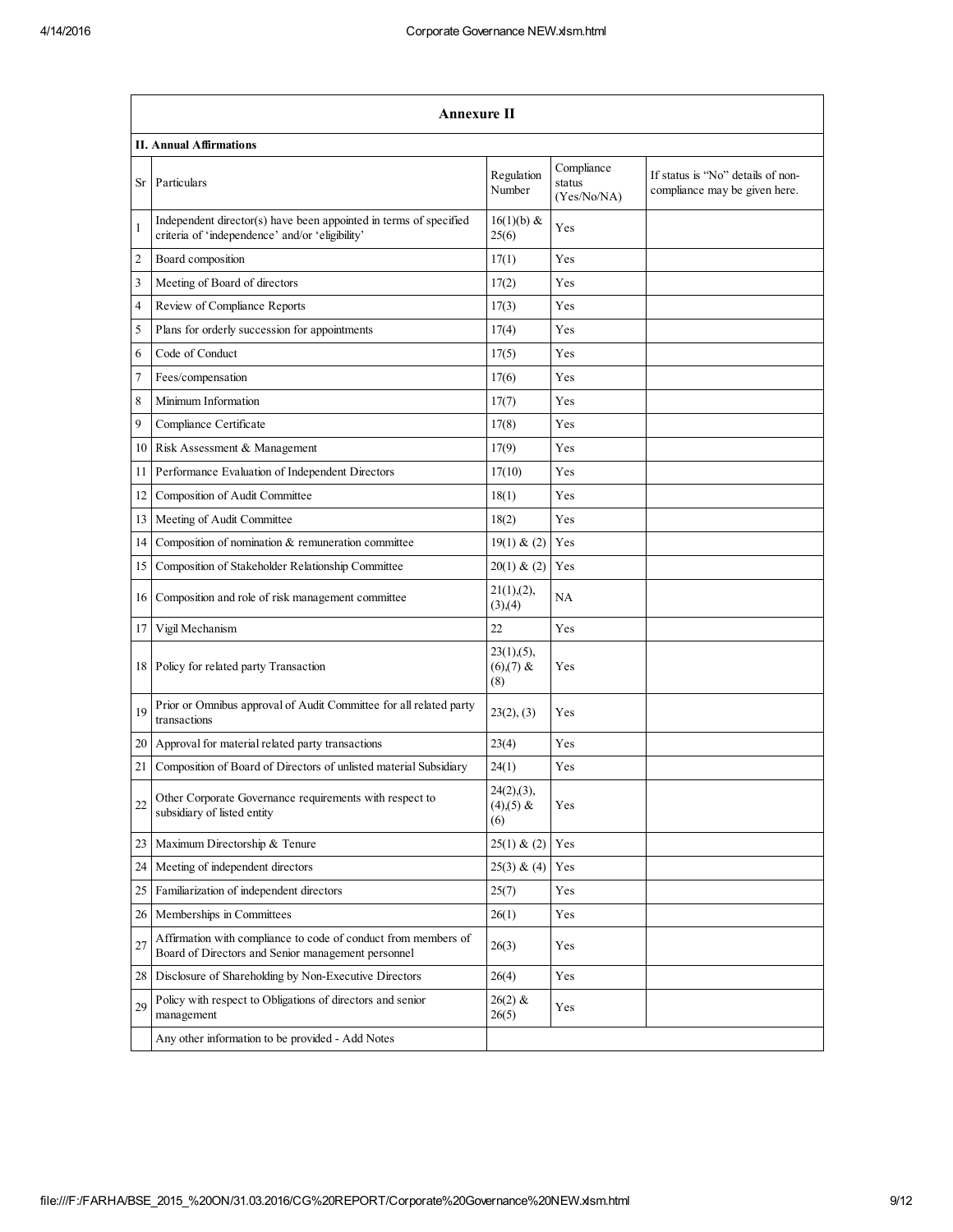|                | Annexure II                                                                                                          |                                     |                                     |                                                                    |  |  |  |  |  |  |
|----------------|----------------------------------------------------------------------------------------------------------------------|-------------------------------------|-------------------------------------|--------------------------------------------------------------------|--|--|--|--|--|--|
|                | <b>II. Annual Affirmations</b>                                                                                       |                                     |                                     |                                                                    |  |  |  |  |  |  |
| Sr             | Particulars                                                                                                          | Regulation<br>Number                | Compliance<br>status<br>(Yes/No/NA) | If status is "No" details of non-<br>compliance may be given here. |  |  |  |  |  |  |
| $\mathbf{1}$   | Independent director(s) have been appointed in terms of specified<br>criteria of 'independence' and/or 'eligibility' | $16(1)(b)$ &<br>25(6)               | Yes                                 |                                                                    |  |  |  |  |  |  |
| $\overline{c}$ | Board composition                                                                                                    | 17(1)                               | Yes                                 |                                                                    |  |  |  |  |  |  |
| 3              | Meeting of Board of directors                                                                                        | 17(2)                               | Yes                                 |                                                                    |  |  |  |  |  |  |
| $\overline{4}$ | Review of Compliance Reports                                                                                         | 17(3)                               | Yes                                 |                                                                    |  |  |  |  |  |  |
| 5              | Plans for orderly succession for appointments                                                                        | 17(4)                               | Yes                                 |                                                                    |  |  |  |  |  |  |
| 6              | Code of Conduct                                                                                                      | 17(5)                               | Yes                                 |                                                                    |  |  |  |  |  |  |
| 7              | Fees/compensation                                                                                                    | 17(6)                               | Yes                                 |                                                                    |  |  |  |  |  |  |
| 8              | Minimum Information                                                                                                  | 17(7)                               | Yes                                 |                                                                    |  |  |  |  |  |  |
| 9              | Compliance Certificate                                                                                               | 17(8)                               | Yes                                 |                                                                    |  |  |  |  |  |  |
| 10             | Risk Assessment & Management                                                                                         | 17(9)                               | Yes                                 |                                                                    |  |  |  |  |  |  |
| 11             | Performance Evaluation of Independent Directors                                                                      | 17(10)                              | Yes                                 |                                                                    |  |  |  |  |  |  |
| 12             | Composition of Audit Committee                                                                                       | 18(1)                               | Yes                                 |                                                                    |  |  |  |  |  |  |
| 13             | Meeting of Audit Committee                                                                                           | 18(2)                               | Yes                                 |                                                                    |  |  |  |  |  |  |
| 14             | Composition of nomination & remuneration committee                                                                   | 19(1) & (2)                         | Yes                                 |                                                                    |  |  |  |  |  |  |
| 15             | Composition of Stakeholder Relationship Committee                                                                    | 20(1) & (2)                         | Yes                                 |                                                                    |  |  |  |  |  |  |
| 16 I           | Composition and role of risk management committee                                                                    | 21(1),(2),<br>(3),(4)               | NA                                  |                                                                    |  |  |  |  |  |  |
| 17             | Vigil Mechanism                                                                                                      | 22                                  | Yes                                 |                                                                    |  |  |  |  |  |  |
| 18             | Policy for related party Transaction                                                                                 | $23(1), (5)$ ,<br>$(6)(7)$ &<br>(8) | Yes                                 |                                                                    |  |  |  |  |  |  |
| 19             | Prior or Omnibus approval of Audit Committee for all related party<br>transactions                                   | 23(2), (3)                          | Yes                                 |                                                                    |  |  |  |  |  |  |
| 20             | Approval for material related party transactions                                                                     | 23(4)                               | Yes                                 |                                                                    |  |  |  |  |  |  |
| 21             | Composition of Board of Directors of unlisted material Subsidiary                                                    | 24(1)                               | Yes                                 |                                                                    |  |  |  |  |  |  |
| 22             | Other Corporate Governance requirements with respect to<br>subsidiary of listed entity                               | 24(2),(3),<br>$(4)(5)$ &<br>(6)     | Yes                                 |                                                                    |  |  |  |  |  |  |
| 23             | Maximum Directorship & Tenure                                                                                        | 25(1) & (2)                         | Yes                                 |                                                                    |  |  |  |  |  |  |
| 24             | Meeting of independent directors                                                                                     | 25(3) & (4)                         | Yes                                 |                                                                    |  |  |  |  |  |  |
| 25             | Familiarization of independent directors                                                                             | 25(7)                               | Yes                                 |                                                                    |  |  |  |  |  |  |
| 26             | Memberships in Committees                                                                                            | 26(1)                               | Yes                                 |                                                                    |  |  |  |  |  |  |
| 27             | Affirmation with compliance to code of conduct from members of<br>Board of Directors and Senior management personnel | 26(3)                               | Yes                                 |                                                                    |  |  |  |  |  |  |
| 28             | Disclosure of Shareholding by Non-Executive Directors                                                                | 26(4)                               | Yes                                 |                                                                    |  |  |  |  |  |  |
| 29             | Policy with respect to Obligations of directors and senior<br>management                                             | $26(2)$ &<br>26(5)                  | Yes                                 |                                                                    |  |  |  |  |  |  |
|                | Any other information to be provided - Add Notes                                                                     |                                     |                                     |                                                                    |  |  |  |  |  |  |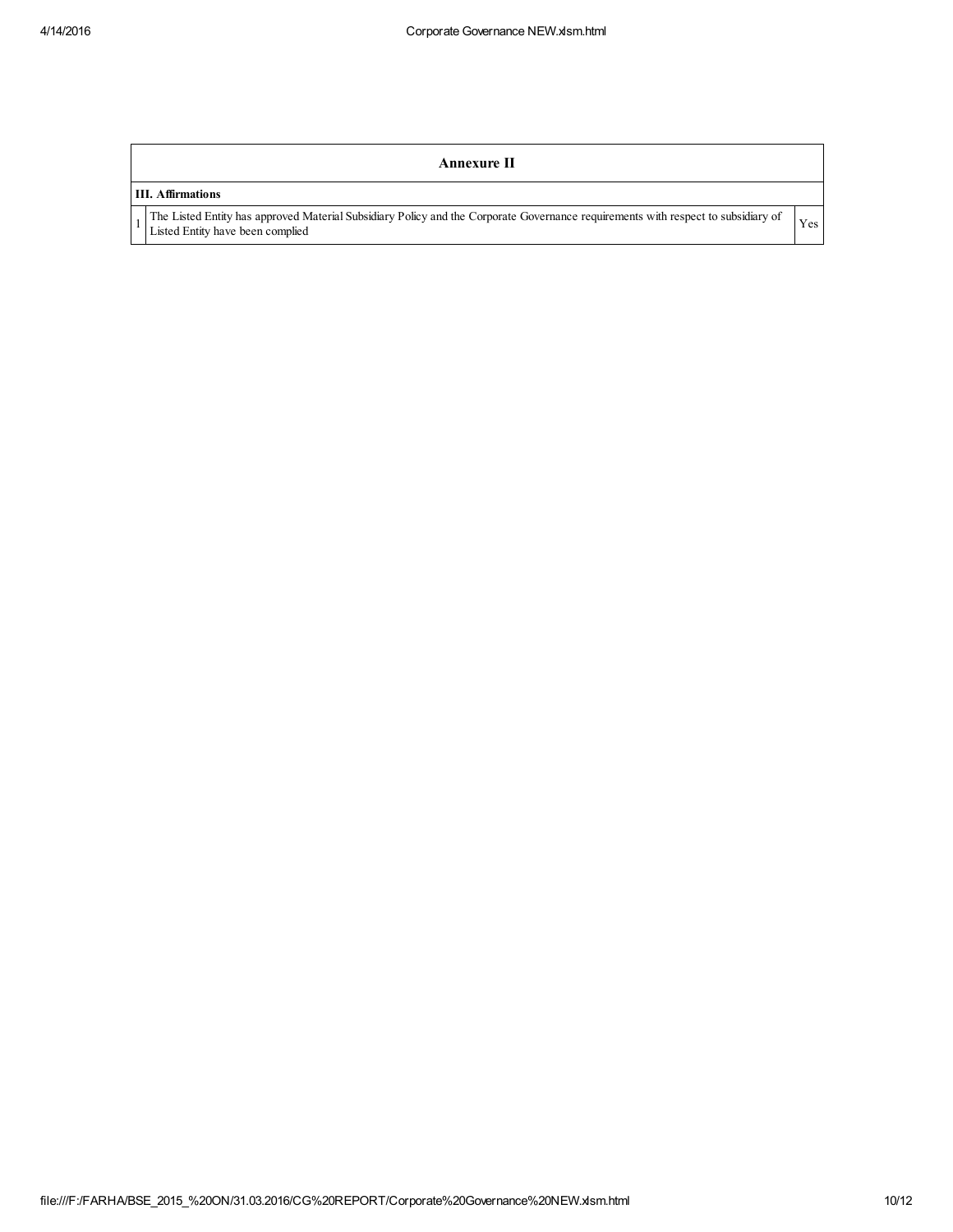## Annexure II

## III. Affirmations

1

The Listed Entity has approved Material Subsidiary Policy and the Corporate Governance requirements with respect to subsidiary of Yes